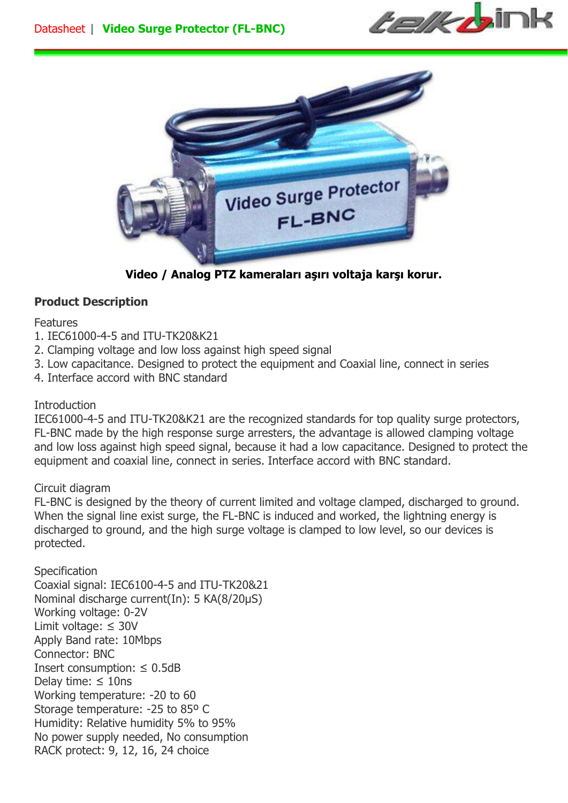



**Video / Analog PTZ kameraları aşırı voltaja karşı korur.** 

## **Product Description**

## Features

- 1. IEC61000-4-5 and ITU-TK20&K21
- 2. Clamping voltage and low loss against high speed signal
- 3. Low capacitance. Designed to protect the equipment and Coaxial line, connect in series
- 4. Interface accord with BNC standard

## **Introduction**

IEC61000-4-5 and ITU-TK20&K21 are the recognized standards for top quality surge protectors, FL-BNC made by the high response surge arresters, the advantage is allowed clamping voltage and low loss against high speed signal, because it had a low capacitance. Designed to protect the equipment and coaxial line, connect in series. Interface accord with BNC standard.

## Circuit diagram

FL-BNC is designed by the theory of current limited and voltage clamped, discharged to ground. When the signal line exist surge, the FL-BNC is induced and worked, the lightning energy is discharged to ground, and the high surge voltage is clamped to low level, so our devices is protected.

**Specification** Coaxial signal: IEC6100-4-5 and ITU-TK20&21 Nominal discharge current(In): 5 KA(8/20µS) Working voltage: 0-2V Limit voltage: ≤ 30V Apply Band rate: 10Mbps Connector: BNC Insert consumption:  $\leq$  0.5dB Delay time:  $\leq$  10ns Working temperature: -20 to 60 Storage temperature: -25 to 85º C Humidity: Relative humidity 5% to 95% No power supply needed, No consumption RACK protect: 9, 12, 16, 24 choice